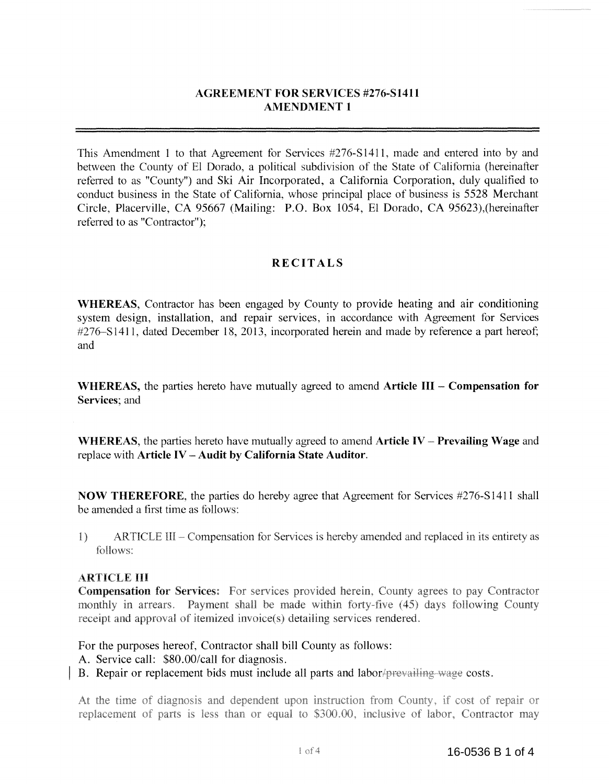## **AGREEMENT FOR SERVICES #276-S1411 AMENDMENT I**

This Amendment 1 to that Agreement for Services #276-S1411, made and entered into by and between the County of El Dorado, a political subdivision of the State of California (hereinafter referred to as "County") and Ski Air Incorporated, a California Corporation, duly qualified to conduct business in the State of California, whose principal place of business is 5528 Merchant Circle, Placerville, CA 95667 (Mailing: P.O. Box 1054, El Dorado, CA 95623),(hereinafter referred to as "Contractor");

### **RECITALS**

**WHEREAS,** Contractor has been engaged by County to provide heating and air conditioning system design, installation, and repair services, in accordance with Agreement for Services #276-S1411, dated December 18, 2013, incorporated herein and made by reference a part hereof; and

**WHEREAS,** the parties hereto have mutually agreed to amend **Article III Compensation for Services;** and

**WHEREAS,** the parties hereto have mutually agreed to amend **Article IV - Prevailing Wage** and replace with **Article IV - Audit by California State Auditor.** 

**NOW THEREFORE,** the parties do hereby agree that Agreement for Services #276-S1411 shall be amended a first time as follows:

 $1)$ ARTICLE III – Compensation for Services is hereby amended and replaced in its entirety as follows:

#### ARTICLE III

**Compensation for Services:** For services provided herein, County agrees to pay Contractor monthly in arrears. Payment shall be made within forty-five (45) days following County receipt and approval of itemized invoice(s) detailing services rendered.

For the purposes hereof, Contractor shall bill County as follows:

- A. Service call: \$80.00/call for diagnosis.
- B. Repair or replacement bids must include all parts and labor/prevailing wage costs.

At the time of diagnosis and dependent upon instruction from County, if cost of repair or replacement of parts is less than or equal to \$300.00, inclusive of labor, Contractor may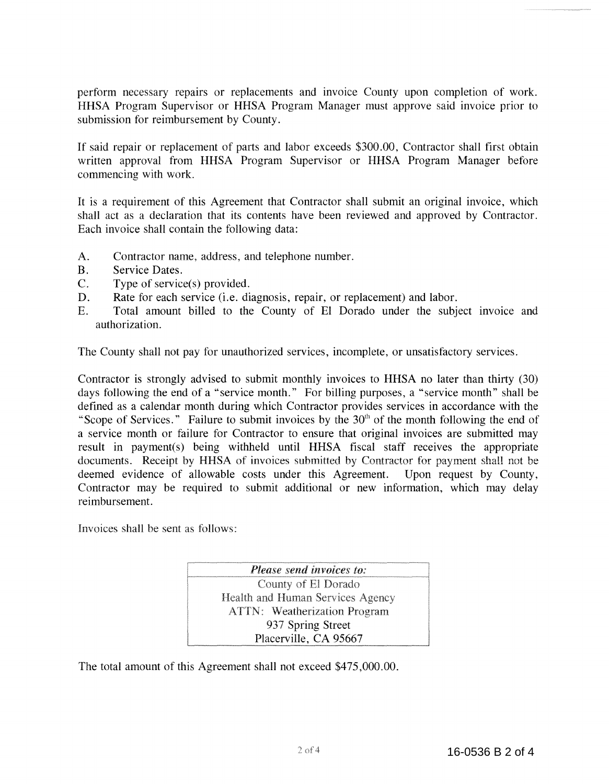perform necessary repairs or replacements and invoice County upon completion of work. HHSA Program Supervisor or HHSA Program Manager must approve said invoice prior to submission for reimbursement by County.

If said repair or replacement of parts and labor exceeds \$300.00, Contractor shall first obtain written approval from HHSA Program Supervisor or HHSA Program Manager before commencing with work.

It is a requirement of this Agreement that Contractor shall submit an original invoice, which shall act as a declaration that its contents have been reviewed and approved by Contractor. Each invoice shall contain the following data:

- A. Contractor name, address, and telephone number.
- B. Service Dates.
- C. Type of service(s) provided.
- D. Rate for each service (i.e. diagnosis, repair, or replacement) and labor.
- E. Total amount billed to the County of El Dorado under the subject invoice and authorization.

The County shall not pay for unauthorized services, incomplete, or unsatisfactory services.

Contractor is strongly advised to submit monthly invoices to HHSA no later than thirty (30) days following the end of a "service month." For billing purposes, a "service month" shall be defined as a calendar month during which Contractor provides services in accordance with the "Scope of Services." Failure to submit invoices by the  $30<sup>th</sup>$  of the month following the end of a service month or failure for Contractor to ensure that original invoices are submitted may result in payment(s) being withheld until HHSA fiscal staff receives the appropriate documents. Receipt by HHSA of invoices submitted by Contractor for payment shall not be deemed evidence of allowable costs under this Agreement. Upon request by County, Contractor may be required to submit additional or new information, which may delay reimbursement.

Invoices shall be sent as follows.

Please send invoices to: County of El Dorado Health and Human Services Agency **ATTN:** Weatherization Program 937 Spring Street Placerville, CA 95667

The total amount of this Agreement shall not exceed \$475,000.00.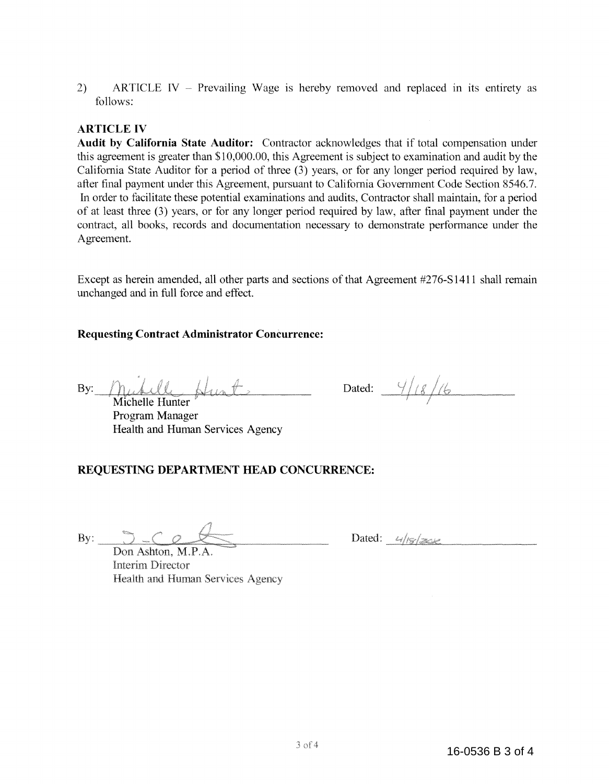2) ARTICLE IV – Prevailing Wage is hereby removed and replaced in its entirety as follows:

## **ARTICLE IV**

**Audit by California State Auditor:** Contractor acknowledges that if total compensation under this agreement is greater than \$10,000.00, this Agreement is subject to examination and audit by the California State Auditor for a period of three (3) years, or for any longer period required by law, after final payment under this Agreement, pursuant to California Government Code Section 8546.7. In order to facilitate these potential examinations and audits, Contractor shall maintain, for a period of at least three (3) years, or for any longer period required by law, after final payment under the contract, all books, records and documentation necessary to demonstrate performance under the Agreement.

Except as herein amended, all other parts and sections of that Agreement #276-S1411 shall remain unchanged and in full force and effect.

#### **Requesting Contract Administrator Concurrence:**

By:

Michelle Hunter Program Manager Health and Human Services Agency

Dated:  $\frac{4}{8}/6$ 

#### **REQUESTING DEPARTMENT HEAD CONCURRENCE:**

By:  $3 - 6$ 

Dated:  $4/18/300$ 

Don Ashton, M.P.A **Interim Director Health and Human Services Agency**